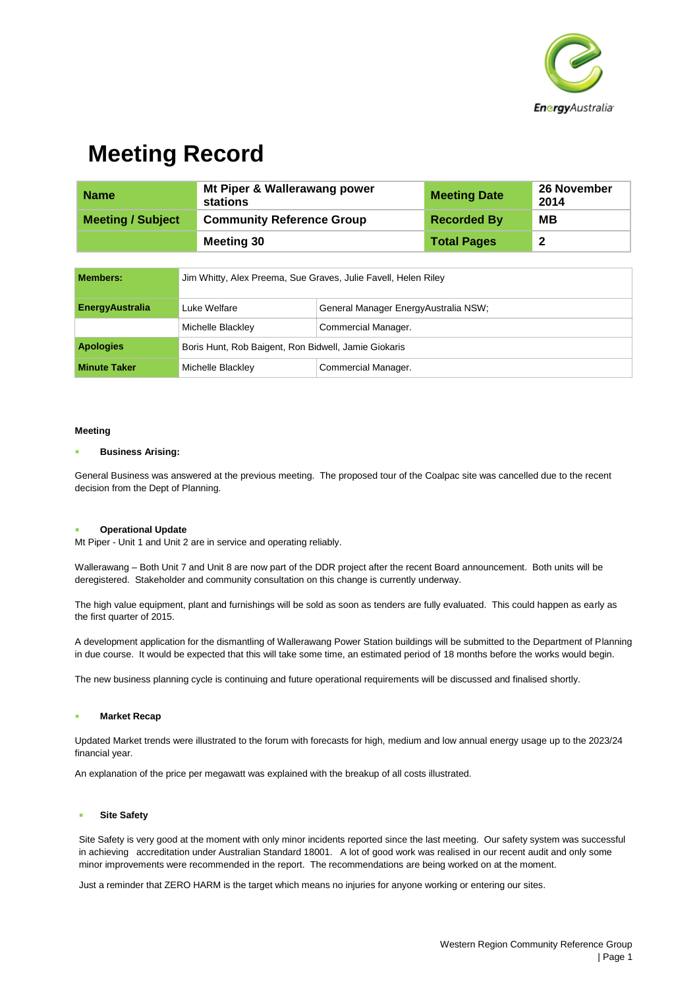

## **Meeting Record**

| <b>Name</b>              | Mt Piper & Wallerawang power<br>stations | <b>Meeting Date</b> | <b>26 November</b><br>2014 |
|--------------------------|------------------------------------------|---------------------|----------------------------|
| <b>Meeting / Subject</b> | <b>Community Reference Group</b>         | <b>Recorded By</b>  | MВ                         |
|                          | Meeting 30                               | <b>Total Pages</b>  | -2                         |

| Members:               | Jim Whitty, Alex Preema, Sue Graves, Julie Favell, Helen Riley |                                       |  |
|------------------------|----------------------------------------------------------------|---------------------------------------|--|
| <b>EnergyAustralia</b> | Luke Welfare                                                   | General Manager Energy Australia NSW; |  |
|                        | Michelle Blackley                                              | Commercial Manager.                   |  |
| <b>Apologies</b>       | Boris Hunt, Rob Baigent, Ron Bidwell, Jamie Giokaris           |                                       |  |
| <b>Minute Taker</b>    | Michelle Blackley                                              | Commercial Manager.                   |  |

### **Meeting**

#### **Business Arising:**

General Business was answered at the previous meeting. The proposed tour of the Coalpac site was cancelled due to the recent decision from the Dept of Planning.

### **Operational Update**

Mt Piper - Unit 1 and Unit 2 are in service and operating reliably.

Wallerawang – Both Unit 7 and Unit 8 are now part of the DDR project after the recent Board announcement. Both units will be deregistered. Stakeholder and community consultation on this change is currently underway.

The high value equipment, plant and furnishings will be sold as soon as tenders are fully evaluated. This could happen as early as the first quarter of 2015.

A development application for the dismantling of Wallerawang Power Station buildings will be submitted to the Department of Planning in due course. It would be expected that this will take some time, an estimated period of 18 months before the works would begin.

The new business planning cycle is continuing and future operational requirements will be discussed and finalised shortly.

### **Market Recap**

Updated Market trends were illustrated to the forum with forecasts for high, medium and low annual energy usage up to the 2023/24 financial year.

An explanation of the price per megawatt was explained with the breakup of all costs illustrated.

### **Site Safety**

Site Safety is very good at the moment with only minor incidents reported since the last meeting. Our safety system was successful in achieving accreditation under Australian Standard 18001. A lot of good work was realised in our recent audit and only some minor improvements were recommended in the report. The recommendations are being worked on at the moment.

Just a reminder that ZERO HARM is the target which means no injuries for anyone working or entering our sites.